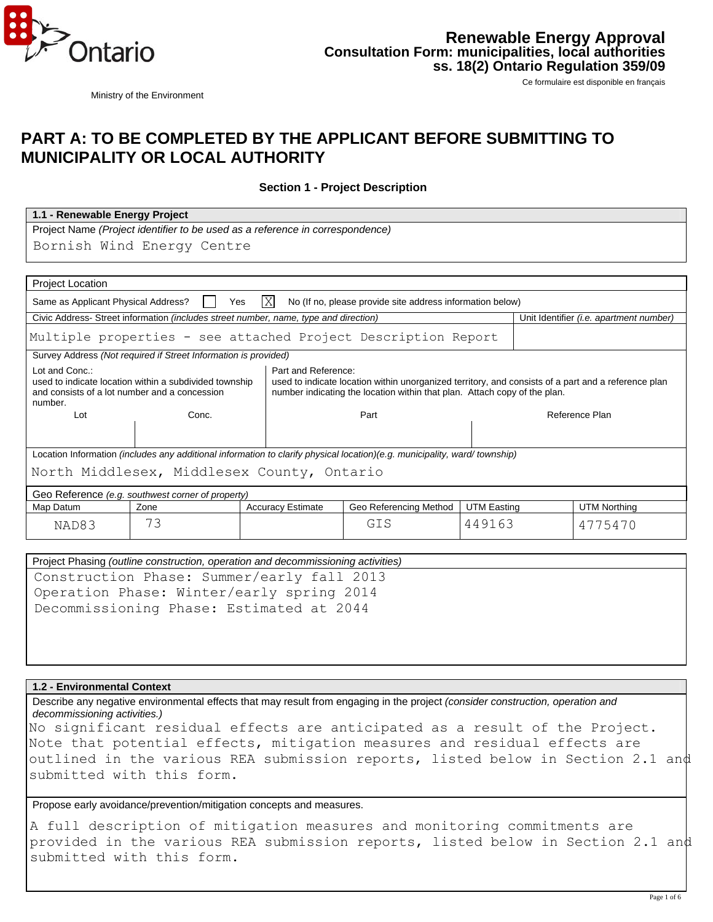

Ministry of the Environment

Ce formulaire est disponible en français

# **PART A: TO BE COMPLETED BY THE APPLICANT BEFORE SUBMITTING TO MUNICIPALITY OR LOCAL AUTHORITY**

**Section 1 - Project Description** 

| 1.1 - Renewable Energy Project                                                |
|-------------------------------------------------------------------------------|
| Project Name (Project identifier to be used as a reference in correspondence) |
| Bornish Wind Energy Centre                                                    |

| <b>Project Location</b>                                                                                                                                                                                                                                                                                                                         |                                                                                      |                          |                                                                                                                           |                    |  |                                         |
|-------------------------------------------------------------------------------------------------------------------------------------------------------------------------------------------------------------------------------------------------------------------------------------------------------------------------------------------------|--------------------------------------------------------------------------------------|--------------------------|---------------------------------------------------------------------------------------------------------------------------|--------------------|--|-----------------------------------------|
| lΧ<br>No (If no, please provide site address information below)<br>Same as Applicant Physical Address?<br>Yes                                                                                                                                                                                                                                   |                                                                                      |                          |                                                                                                                           |                    |  |                                         |
|                                                                                                                                                                                                                                                                                                                                                 | Civic Address- Street information (includes street number, name, type and direction) |                          |                                                                                                                           |                    |  | Unit Identifier (i.e. apartment number) |
| Multiple properties - see attached Project Description Report                                                                                                                                                                                                                                                                                   |                                                                                      |                          |                                                                                                                           |                    |  |                                         |
|                                                                                                                                                                                                                                                                                                                                                 | Survey Address (Not required if Street Information is provided)                      |                          |                                                                                                                           |                    |  |                                         |
| Lot and Conc.:<br>Part and Reference:<br>used to indicate location within a subdivided township<br>used to indicate location within unorganized territory, and consists of a part and a reference plan<br>number indicating the location within that plan. Attach copy of the plan.<br>and consists of a lot number and a concession<br>number. |                                                                                      |                          |                                                                                                                           |                    |  |                                         |
| Lot                                                                                                                                                                                                                                                                                                                                             | Conc.                                                                                |                          | Part                                                                                                                      |                    |  | Reference Plan                          |
|                                                                                                                                                                                                                                                                                                                                                 |                                                                                      |                          |                                                                                                                           |                    |  |                                         |
|                                                                                                                                                                                                                                                                                                                                                 |                                                                                      |                          | Location Information (includes any additional information to clarify physical location)(e.g. municipality, ward/township) |                    |  |                                         |
|                                                                                                                                                                                                                                                                                                                                                 | North Middlesex, Middlesex County, Ontario                                           |                          |                                                                                                                           |                    |  |                                         |
|                                                                                                                                                                                                                                                                                                                                                 | Geo Reference (e.g. southwest corner of property)                                    |                          |                                                                                                                           |                    |  |                                         |
| Map Datum                                                                                                                                                                                                                                                                                                                                       | Zone                                                                                 | <b>Accuracy Estimate</b> | Geo Referencing Method                                                                                                    | <b>UTM Easting</b> |  | <b>UTM Northing</b>                     |
| NAD83                                                                                                                                                                                                                                                                                                                                           | 73                                                                                   |                          | GIS                                                                                                                       | 449163             |  | 4775470                                 |
|                                                                                                                                                                                                                                                                                                                                                 |                                                                                      |                          |                                                                                                                           |                    |  |                                         |
| Project Phasing (outline construction, operation and decommissioning activities)                                                                                                                                                                                                                                                                |                                                                                      |                          |                                                                                                                           |                    |  |                                         |
| Construction Phase: Summer/early fall 2013                                                                                                                                                                                                                                                                                                      |                                                                                      |                          |                                                                                                                           |                    |  |                                         |
| Operation Phase: Winter/early spring 2014                                                                                                                                                                                                                                                                                                       |                                                                                      |                          |                                                                                                                           |                    |  |                                         |
| Decommissioning Phase: Estimated at 2044                                                                                                                                                                                                                                                                                                        |                                                                                      |                          |                                                                                                                           |                    |  |                                         |

| Project Phasing (outline construction, operation and decommissioning activities) |
|----------------------------------------------------------------------------------|
| Construction Phase: Summer/early fall 2013                                       |
| Operation Phase: Winter/early spring 2014                                        |
| Decommissioning Phase: Estimated at 2044                                         |
|                                                                                  |
|                                                                                  |

#### **1.2 - Environmental Context**

Describe any negative environmental effects that may result from engaging in the project *(consider construction, operation and decommissioning activities.)*

No significant residual effects are anticipated as a result of the Project. Note that potential effects, mitigation measures and residual effects are outlined in the various REA submission reports, listed below in Section 2.1 and submitted with this form.

Propose early avoidance/prevention/mitigation concepts and measures.

A full description of mitigation measures and monitoring commitments are provided in the various REA submission reports, listed below in Section 2.1 and submitted with this form.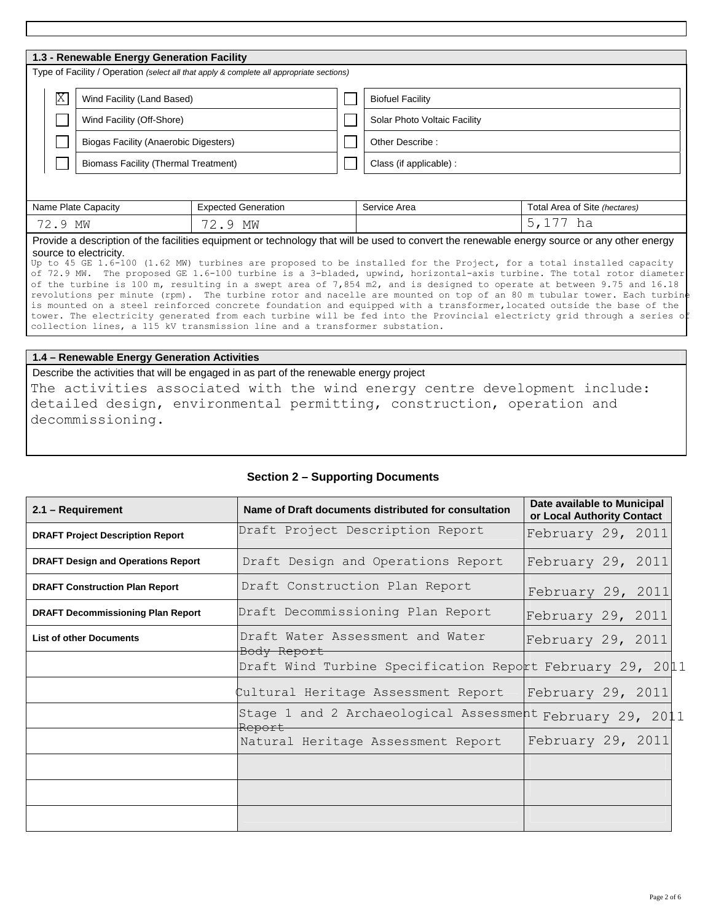| 1.3 - Renewable Energy Generation Facility                                                                                                                                                                                                                                                                                                                                                                            |                            |                              |                               |  |
|-----------------------------------------------------------------------------------------------------------------------------------------------------------------------------------------------------------------------------------------------------------------------------------------------------------------------------------------------------------------------------------------------------------------------|----------------------------|------------------------------|-------------------------------|--|
| Type of Facility / Operation (select all that apply & complete all appropriate sections)                                                                                                                                                                                                                                                                                                                              |                            |                              |                               |  |
| $\boxtimes$<br>Wind Facility (Land Based)                                                                                                                                                                                                                                                                                                                                                                             |                            | <b>Biofuel Facility</b>      |                               |  |
| Wind Facility (Off-Shore)                                                                                                                                                                                                                                                                                                                                                                                             |                            | Solar Photo Voltaic Facility |                               |  |
| Biogas Facility (Anaerobic Digesters)                                                                                                                                                                                                                                                                                                                                                                                 |                            | Other Describe:              |                               |  |
| <b>Biomass Facility (Thermal Treatment)</b>                                                                                                                                                                                                                                                                                                                                                                           |                            | Class (if applicable) :      |                               |  |
|                                                                                                                                                                                                                                                                                                                                                                                                                       |                            |                              |                               |  |
| Name Plate Capacity                                                                                                                                                                                                                                                                                                                                                                                                   | <b>Expected Generation</b> | Service Area                 | Total Area of Site (hectares) |  |
| 72.9 MW                                                                                                                                                                                                                                                                                                                                                                                                               | 72.9 MW                    |                              | 5,177 ha                      |  |
| Provide a description of the facilities equipment or technology that will be used to convert the renewable energy source or any other energy<br>source to electricity.<br>Up to 45 GE 1.6-100 (1.62 MW) turbines are proposed to be installed for the Project, for a total installed capacity<br>of 72.9 MW. The proposed GE 1.6-100 turbine is a 3-bladed, upwind, horizontal-axis turbine. The total rotor diameter |                            |                              |                               |  |

of the turbine is 100 m, resulting in a swept area of 7,854 m2, and is designed to operate at between 9.75 and 16.18 revolutions per minute (rpm). The turbine rotor and nacelle are mounted on top of an 80 m tubular tower. Each turbin is mounted on a steel reinforced concrete foundation and equipped with a transformer,located outside the base of the tower. The electricity generated from each turbine will be fed into the Provincial electricty grid through a series of collection lines, a 115 kV transmission line and a transformer substation.

#### **1.4 – Renewable Energy Generation Activities**

Describe the activities that will be engaged in as part of the renewable energy project

The activities associated with the wind energy centre development include: detailed design, environmental permitting, construction, operation and decommissioning.

#### **Section 2 – Supporting Documents**

| 2.1 - Requirement                         | Name of Draft documents distributed for consultation                | Date available to Municipal<br>or Local Authority Contact |
|-------------------------------------------|---------------------------------------------------------------------|-----------------------------------------------------------|
| <b>DRAFT Project Description Report</b>   | Draft Project Description Report                                    | February 29, 2011                                         |
| <b>DRAFT Design and Operations Report</b> | Draft Design and Operations Report                                  | February 29, 2011                                         |
| <b>DRAFT Construction Plan Report</b>     | Draft Construction Plan Report                                      | February 29, 2011                                         |
| <b>DRAFT Decommissioning Plan Report</b>  | Draft Decommissioning Plan Report                                   | February 29, 2011                                         |
| <b>List of other Documents</b>            | Draft Water Assessment and Water<br>Body Report                     | February 29, 2011                                         |
|                                           | Draft Wind Turbine Specification Report February 29, 2011           |                                                           |
|                                           | Cultural Heritage Assessment Report                                 | February 29, 2011                                         |
|                                           | Stage 1 and 2 Archaeological Assessment February 29, 2011<br>Report |                                                           |
|                                           | Natural Heritage Assessment Report                                  | February 29, 2011                                         |
|                                           |                                                                     |                                                           |
|                                           |                                                                     |                                                           |
|                                           |                                                                     |                                                           |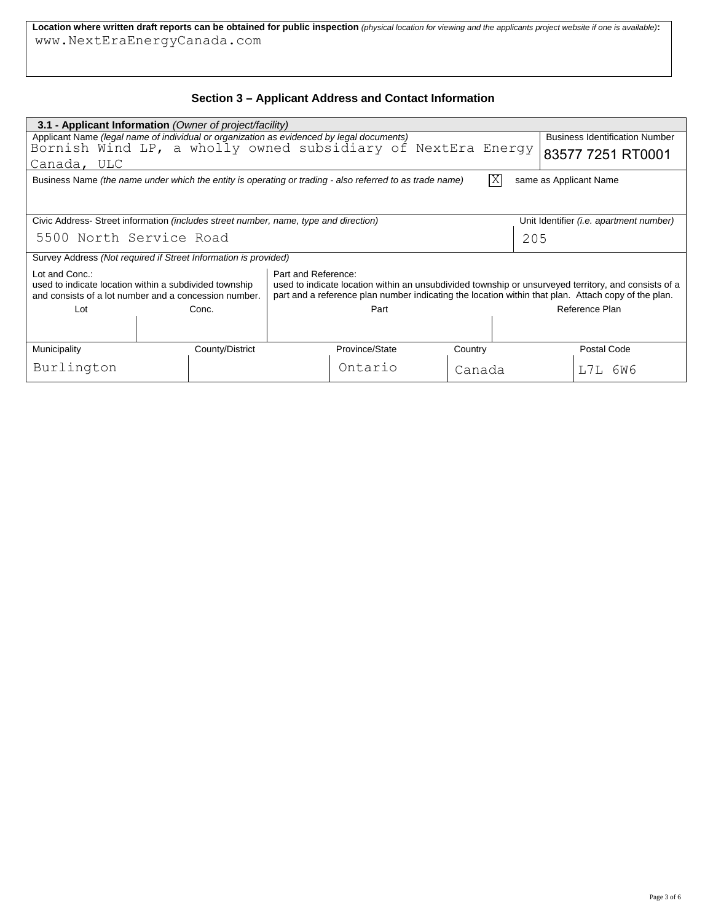**Location where written draft reports can be obtained for public inspection** *(physical location for viewing and the applicants project website if one is available)***:** 

## **Section 3 – Applicant Address and Contact Information**

| www.NextEraEnergyCanada.com                                                                                                                                                                                                                                                                                                                                             |                                                                                                          |  |                |                         |                        |                                         |
|-------------------------------------------------------------------------------------------------------------------------------------------------------------------------------------------------------------------------------------------------------------------------------------------------------------------------------------------------------------------------|----------------------------------------------------------------------------------------------------------|--|----------------|-------------------------|------------------------|-----------------------------------------|
|                                                                                                                                                                                                                                                                                                                                                                         |                                                                                                          |  |                |                         |                        |                                         |
| Section 3 – Applicant Address and Contact Information                                                                                                                                                                                                                                                                                                                   |                                                                                                          |  |                |                         |                        |                                         |
|                                                                                                                                                                                                                                                                                                                                                                         | 3.1 - Applicant Information (Owner of project/facility)                                                  |  |                |                         |                        |                                         |
|                                                                                                                                                                                                                                                                                                                                                                         | Applicant Name (legal name of individual or organization as evidenced by legal documents)                |  |                |                         |                        | <b>Business Identification Number</b>   |
|                                                                                                                                                                                                                                                                                                                                                                         | Bornish Wind LP, a wholly owned subsidiary of NextEra Energy                                             |  |                |                         |                        | 83577 7251 RT0001                       |
| Canada, ULC                                                                                                                                                                                                                                                                                                                                                             |                                                                                                          |  |                |                         |                        |                                         |
|                                                                                                                                                                                                                                                                                                                                                                         | Business Name (the name under which the entity is operating or trading - also referred to as trade name) |  |                | $\overline{\mathrm{X}}$ | same as Applicant Name |                                         |
|                                                                                                                                                                                                                                                                                                                                                                         |                                                                                                          |  |                |                         |                        |                                         |
|                                                                                                                                                                                                                                                                                                                                                                         |                                                                                                          |  |                |                         |                        |                                         |
|                                                                                                                                                                                                                                                                                                                                                                         | Civic Address- Street information <i>(includes street number, name, type and direction)</i>              |  |                |                         |                        | Unit Identifier (i.e. apartment number) |
| 5500 North Service Road                                                                                                                                                                                                                                                                                                                                                 |                                                                                                          |  |                |                         | 205                    |                                         |
|                                                                                                                                                                                                                                                                                                                                                                         | Survey Address (Not required if Street Information is provided)                                          |  |                |                         |                        |                                         |
| Lot and Conc.:<br>Part and Reference:<br>used to indicate location within a subdivided township<br>used to indicate location within an unsubdivided township or unsurveyed territory, and consists of a<br>and consists of a lot number and a concession number.<br>part and a reference plan number indicating the location within that plan. Attach copy of the plan. |                                                                                                          |  |                |                         |                        |                                         |
| Lot                                                                                                                                                                                                                                                                                                                                                                     | Conc.                                                                                                    |  | Part           |                         |                        | Reference Plan                          |
|                                                                                                                                                                                                                                                                                                                                                                         |                                                                                                          |  |                |                         |                        |                                         |
| Municipality                                                                                                                                                                                                                                                                                                                                                            | County/District                                                                                          |  | Province/State | Country                 |                        | Postal Code                             |
| Burlington                                                                                                                                                                                                                                                                                                                                                              |                                                                                                          |  | Ontario        | Canada                  |                        | L7L 6W6                                 |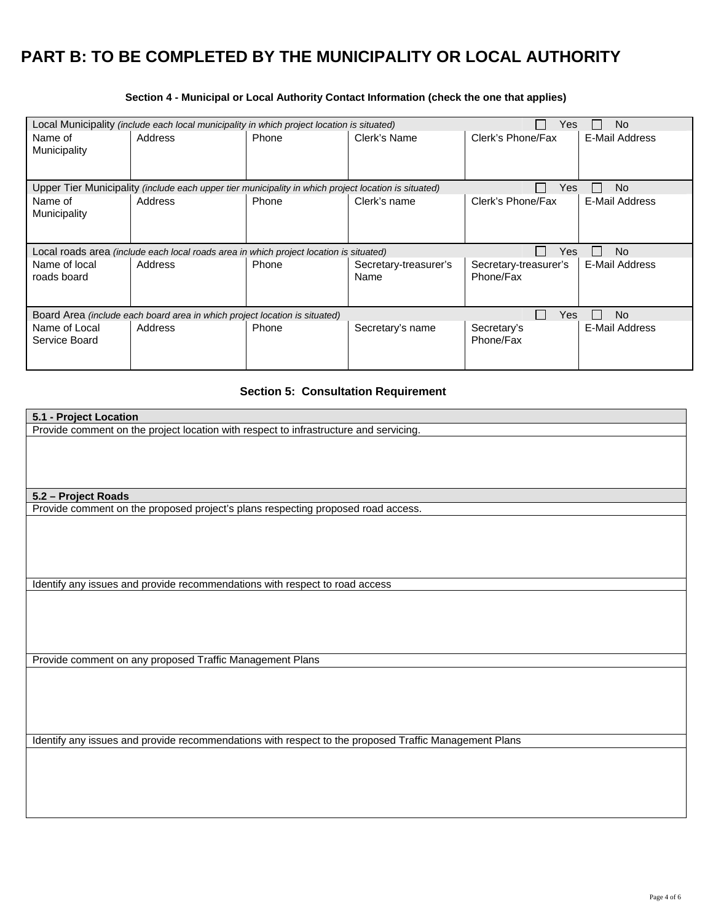# **PART B: TO BE COMPLETED BY THE MUNICIPALITY OR LOCAL AUTHORITY**

| Local Municipality (include each local municipality in which project location is situated)<br>No<br>Yes |                                                                                                             |       |                       |                       |                |
|---------------------------------------------------------------------------------------------------------|-------------------------------------------------------------------------------------------------------------|-------|-----------------------|-----------------------|----------------|
| Name of                                                                                                 | Address                                                                                                     | Phone | Clerk's Name          | Clerk's Phone/Fax     | E-Mail Address |
| Municipality                                                                                            |                                                                                                             |       |                       |                       |                |
|                                                                                                         |                                                                                                             |       |                       |                       |                |
|                                                                                                         |                                                                                                             |       |                       |                       |                |
|                                                                                                         | Upper Tier Municipality <i>(include each upper tier municipality in which project location is situated)</i> |       |                       | Yes                   | <b>No</b>      |
| Name of                                                                                                 | Address                                                                                                     | Phone | Clerk's name          | Clerk's Phone/Fax     | E-Mail Address |
| Municipality                                                                                            |                                                                                                             |       |                       |                       |                |
|                                                                                                         |                                                                                                             |       |                       |                       |                |
|                                                                                                         |                                                                                                             |       |                       |                       |                |
| Yes<br>No.<br>Local roads area (include each local roads area in which project location is situated)    |                                                                                                             |       |                       |                       |                |
|                                                                                                         |                                                                                                             |       |                       |                       |                |
| Name of local                                                                                           | Address                                                                                                     | Phone | Secretary-treasurer's | Secretary-treasurer's | E-Mail Address |
| roads board                                                                                             |                                                                                                             |       | Name                  | Phone/Fax             |                |
|                                                                                                         |                                                                                                             |       |                       |                       |                |
|                                                                                                         |                                                                                                             |       |                       |                       |                |
|                                                                                                         | Board Area (include each board area in which project location is situated)                                  |       |                       | Yes                   | No             |
| Name of Local                                                                                           | Address                                                                                                     | Phone |                       | Secretary's           | E-Mail Address |
| Service Board                                                                                           |                                                                                                             |       | Secretary's name      | Phone/Fax             |                |
|                                                                                                         |                                                                                                             |       |                       |                       |                |

## **Section 4 - Municipal or Local Authority Contact Information (check the one that applies)**

# **Section 5: Consultation Requirement**

| 5.1 - Project Location                                                                                |
|-------------------------------------------------------------------------------------------------------|
| Provide comment on the project location with respect to infrastructure and servicing.                 |
|                                                                                                       |
|                                                                                                       |
|                                                                                                       |
|                                                                                                       |
|                                                                                                       |
| 5.2 - Project Roads                                                                                   |
| Provide comment on the proposed project's plans respecting proposed road access.                      |
|                                                                                                       |
|                                                                                                       |
|                                                                                                       |
|                                                                                                       |
|                                                                                                       |
|                                                                                                       |
| Identify any issues and provide recommendations with respect to road access                           |
|                                                                                                       |
|                                                                                                       |
|                                                                                                       |
|                                                                                                       |
|                                                                                                       |
| Provide comment on any proposed Traffic Management Plans                                              |
|                                                                                                       |
|                                                                                                       |
|                                                                                                       |
|                                                                                                       |
|                                                                                                       |
|                                                                                                       |
| Identify any issues and provide recommendations with respect to the proposed Traffic Management Plans |
|                                                                                                       |
|                                                                                                       |
|                                                                                                       |
|                                                                                                       |
|                                                                                                       |
|                                                                                                       |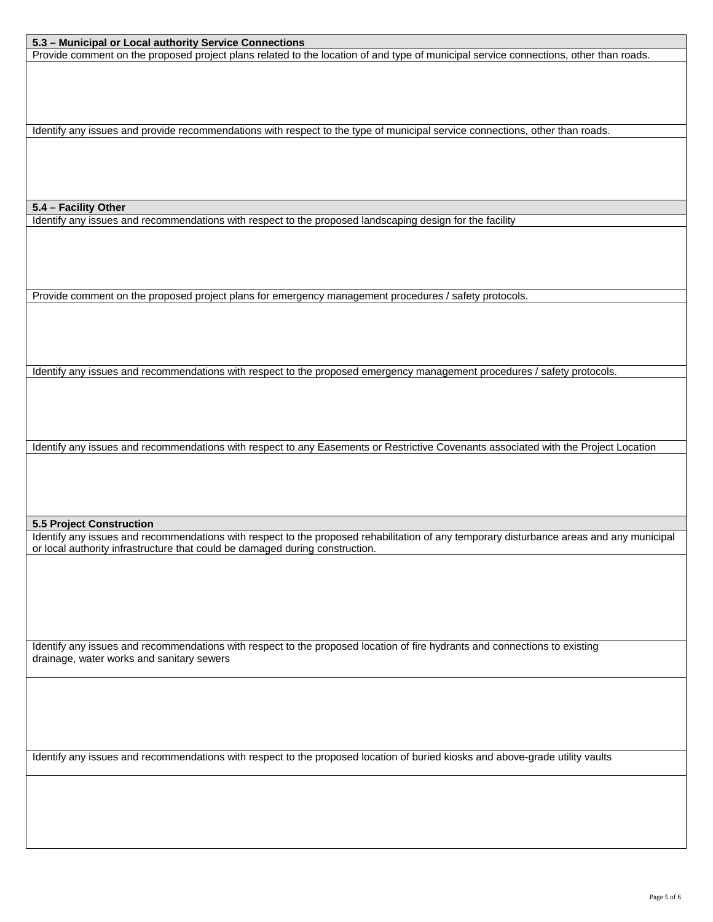#### **5.3 – Municipal or Local authority Service Connections**

Provide comment on the proposed project plans related to the location of and type of municipal service connections, other than roads.

Identify any issues and provide recommendations with respect to the type of municipal service connections, other than roads.

#### **5.4 – Facility Other**

Identify any issues and recommendations with respect to the proposed landscaping design for the facility

Provide comment on the proposed project plans for emergency management procedures / safety protocols.

Identify any issues and recommendations with respect to the proposed emergency management procedures / safety protocols.

Identify any issues and recommendations with respect to any Easements or Restrictive Covenants associated with the Project Location

**5.5 Project Construction** 

Identify any issues and recommendations with respect to the proposed rehabilitation of any temporary disturbance areas and any municipal or local authority infrastructure that could be damaged during construction.

Identify any issues and recommendations with respect to the proposed location of fire hydrants and connections to existing drainage, water works and sanitary sewers

Identify any issues and recommendations with respect to the proposed location of buried kiosks and above-grade utility vaults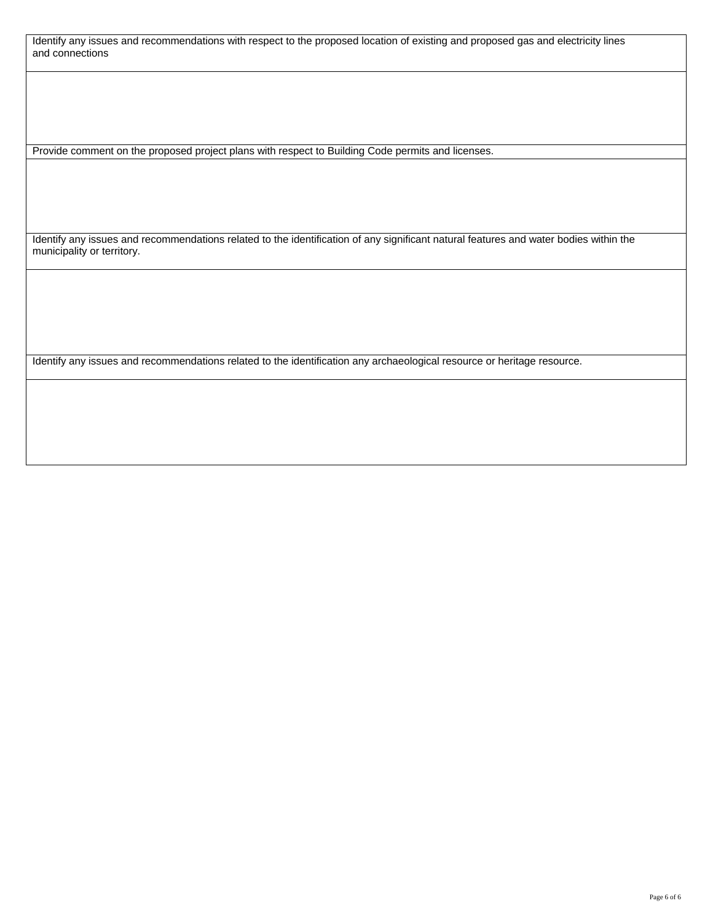Identify any issues and recommendations with respect to the proposed location of existing and proposed gas and electricity lines and connections

Provide comment on the proposed project plans with respect to Building Code permits and licenses.

Identify any issues and recommendations related to the identification of any significant natural features and water bodies within the municipality or territory.

Identify any issues and recommendations related to the identification any archaeological resource or heritage resource.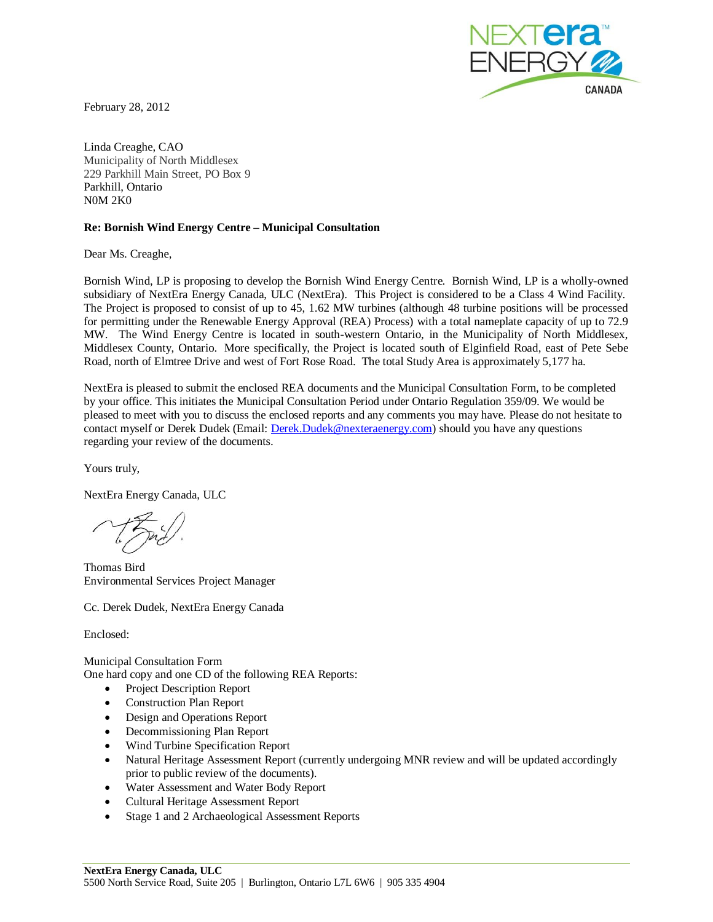

February 28, 2012

Linda Creaghe, CAO Municipality of North Middlesex 229 Parkhill Main Street, PO Box 9 Parkhill, Ontario N0M 2K0

#### **Re: Bornish Wind Energy Centre – Municipal Consultation**

Dear Ms. Creaghe,

Bornish Wind, LP is proposing to develop the Bornish Wind Energy Centre. Bornish Wind, LP is a wholly-owned subsidiary of NextEra Energy Canada, ULC (NextEra). This Project is considered to be a Class 4 Wind Facility. The Project is proposed to consist of up to 45, 1.62 MW turbines (although 48 turbine positions will be processed for permitting under the Renewable Energy Approval (REA) Process) with a total nameplate capacity of up to 72.9 MW. The Wind Energy Centre is located in south-western Ontario, in the Municipality of North Middlesex, Middlesex County, Ontario. More specifically, the Project is located south of Elginfield Road, east of Pete Sebe Road, north of Elmtree Drive and west of Fort Rose Road. The total Study Area is approximately 5,177 ha.

NextEra is pleased to submit the enclosed REA documents and the Municipal Consultation Form, to be completed by your office. This initiates the Municipal Consultation Period under Ontario Regulation 359/09. We would be pleased to meet with you to discuss the enclosed reports and any comments you may have. Please do not hesitate to contact myself or Derek Dudek (Email: Derek.Dudek@nexteraenergy.com) should you have any questions regarding your review of the documents.

Yours truly,

NextEra Energy Canada, ULC

Thomas Bird Environmental Services Project Manager

Cc. Derek Dudek, NextEra Energy Canada

Enclosed:

Municipal Consultation Form One hard copy and one CD of the following REA Reports:

- Project Description Report
- **Construction Plan Report**
- Design and Operations Report
- Decommissioning Plan Report
- x Wind Turbine Specification Report
- Natural Heritage Assessment Report (currently undergoing MNR review and will be updated accordingly prior to public review of the documents).
- Water Assessment and Water Body Report
- Cultural Heritage Assessment Report
- Stage 1 and 2 Archaeological Assessment Reports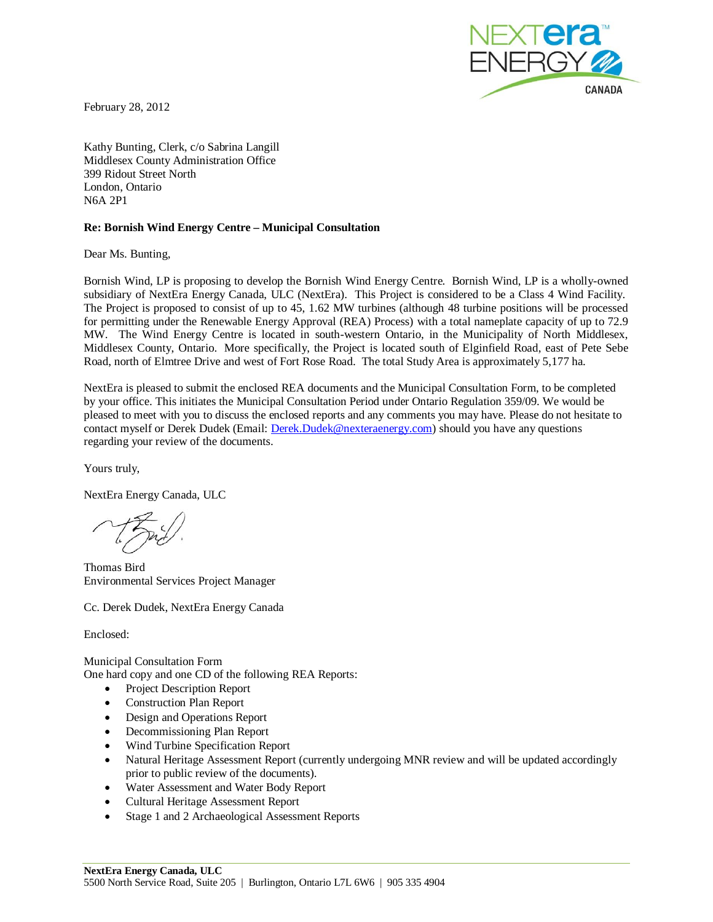

February 28, 2012

Kathy Bunting, Clerk, c/o Sabrina Langill Middlesex County Administration Office 399 Ridout Street North London, Ontario N6A 2P1

#### **Re: Bornish Wind Energy Centre – Municipal Consultation**

Dear Ms. Bunting,

Bornish Wind, LP is proposing to develop the Bornish Wind Energy Centre. Bornish Wind, LP is a wholly-owned subsidiary of NextEra Energy Canada, ULC (NextEra). This Project is considered to be a Class 4 Wind Facility. The Project is proposed to consist of up to 45, 1.62 MW turbines (although 48 turbine positions will be processed for permitting under the Renewable Energy Approval (REA) Process) with a total nameplate capacity of up to 72.9 MW. The Wind Energy Centre is located in south-western Ontario, in the Municipality of North Middlesex, Middlesex County, Ontario. More specifically, the Project is located south of Elginfield Road, east of Pete Sebe Road, north of Elmtree Drive and west of Fort Rose Road. The total Study Area is approximately 5,177 ha.

NextEra is pleased to submit the enclosed REA documents and the Municipal Consultation Form, to be completed by your office. This initiates the Municipal Consultation Period under Ontario Regulation 359/09. We would be pleased to meet with you to discuss the enclosed reports and any comments you may have. Please do not hesitate to contact myself or Derek Dudek (Email: Derek.Dudek@nexteraenergy.com) should you have any questions regarding your review of the documents.

Yours truly,

NextEra Energy Canada, ULC

Thomas Bird Environmental Services Project Manager

Cc. Derek Dudek, NextEra Energy Canada

Enclosed:

Municipal Consultation Form One hard copy and one CD of the following REA Reports:

- Project Description Report
- **Construction Plan Report**
- Design and Operations Report
- Decommissioning Plan Report
- x Wind Turbine Specification Report
- Natural Heritage Assessment Report (currently undergoing MNR review and will be updated accordingly prior to public review of the documents).
- Water Assessment and Water Body Report
- Cultural Heritage Assessment Report
- Stage 1 and 2 Archaeological Assessment Reports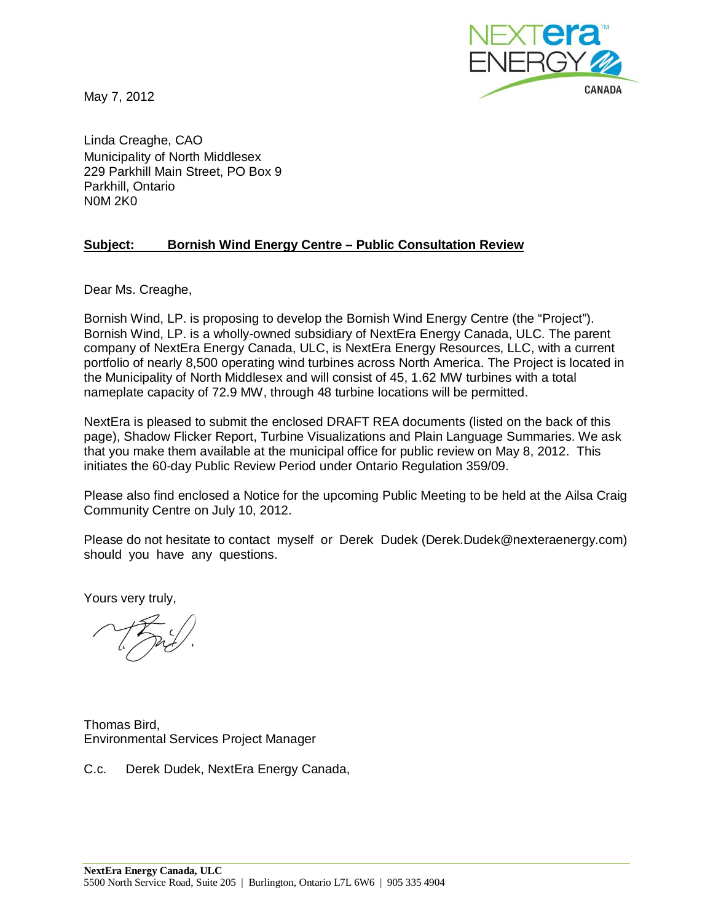May 7, 2012



Linda Creaghe, CAO Municipality of North Middlesex 229 Parkhill Main Street, PO Box 9 Parkhill, Ontario N0M 2K0

# **Subject: Bornish Wind Energy Centre – Public Consultation Review**

Dear Ms. Creaghe,

Bornish Wind, LP. is proposing to develop the Bornish Wind Energy Centre (the "Project"). Bornish Wind, LP. is a wholly-owned subsidiary of NextEra Energy Canada, ULC. The parent company of NextEra Energy Canada, ULC, is NextEra Energy Resources, LLC, with a current portfolio of nearly 8,500 operating wind turbines across North America. The Project is located in the Municipality of North Middlesex and will consist of 45, 1.62 MW turbines with a total nameplate capacity of 72.9 MW, through 48 turbine locations will be permitted.

NextEra is pleased to submit the enclosed DRAFT REA documents (listed on the back of this page), Shadow Flicker Report, Turbine Visualizations and Plain Language Summaries. We ask that you make them available at the municipal office for public review on May 8, 2012. This initiates the 60-day Public Review Period under Ontario Regulation 359/09.

Please also find enclosed a Notice for the upcoming Public Meeting to be held at the Ailsa Craig Community Centre on July 10, 2012.

Please do not hesitate to contact myself or Derek Dudek (Derek.Dudek@nexteraenergy.com) should you have any questions.

Yours very truly,

Thomas Bird, Environmental Services Project Manager

C.c. Derek Dudek, NextEra Energy Canada,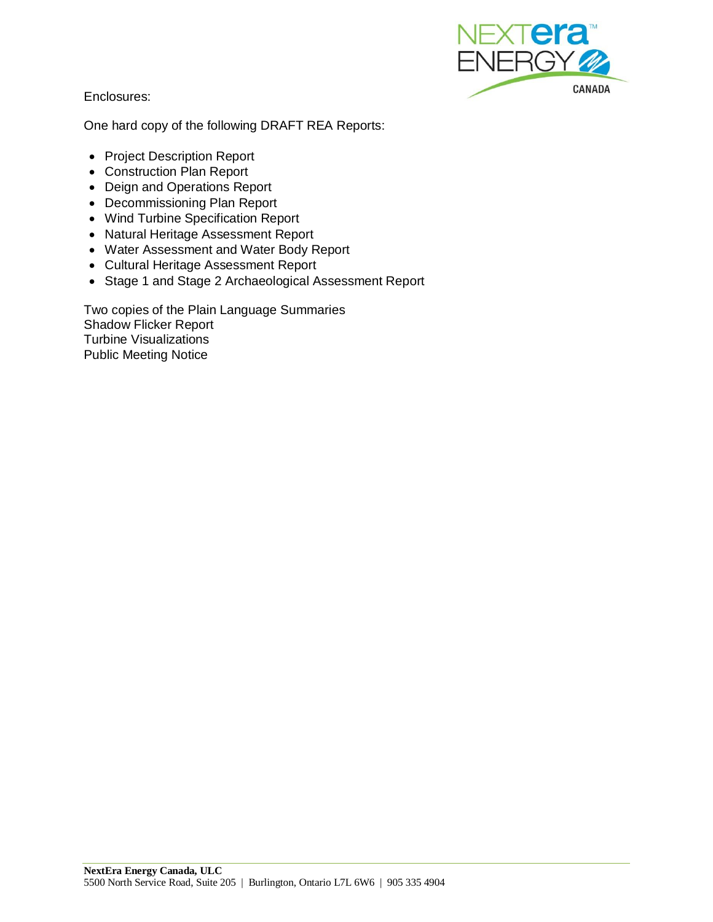

Enclosures:

One hard copy of the following DRAFT REA Reports:

- Project Description Report
- Construction Plan Report
- Deign and Operations Report
- Decommissioning Plan Report
- Wind Turbine Specification Report
- Natural Heritage Assessment Report
- Water Assessment and Water Body Report
- Cultural Heritage Assessment Report
- Stage 1 and Stage 2 Archaeological Assessment Report

Two copies of the Plain Language Summaries Shadow Flicker Report Turbine Visualizations Public Meeting Notice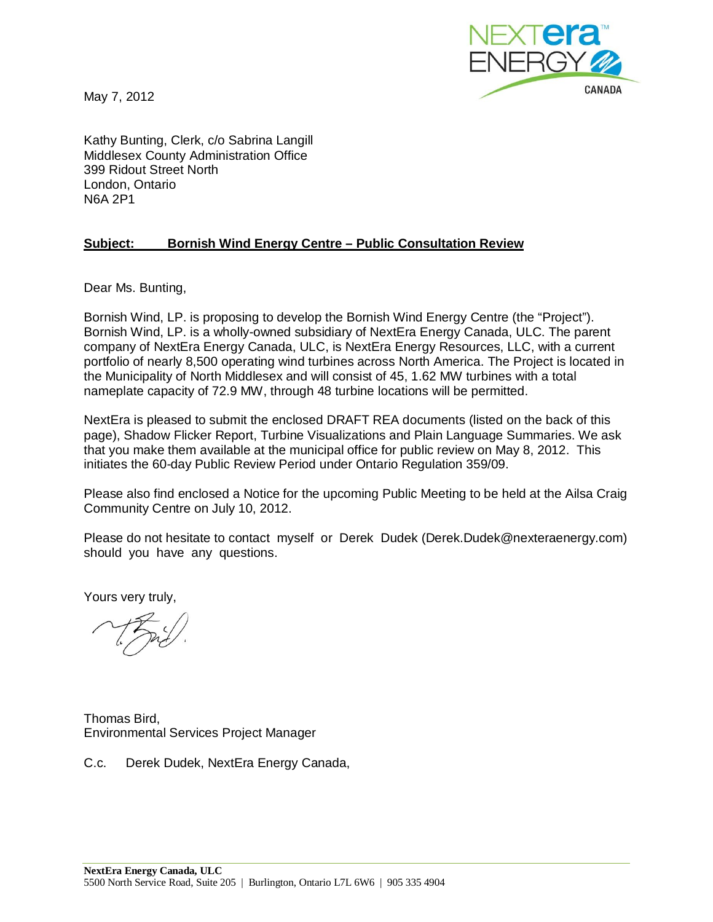May 7, 2012



Kathy Bunting, Clerk, c/o Sabrina Langill Middlesex County Administration Office 399 Ridout Street North London, Ontario N6A 2P1

# **Subject: Bornish Wind Energy Centre – Public Consultation Review**

Dear Ms. Bunting,

Bornish Wind, LP. is proposing to develop the Bornish Wind Energy Centre (the "Project"). Bornish Wind, LP. is a wholly-owned subsidiary of NextEra Energy Canada, ULC. The parent company of NextEra Energy Canada, ULC, is NextEra Energy Resources, LLC, with a current portfolio of nearly 8,500 operating wind turbines across North America. The Project is located in the Municipality of North Middlesex and will consist of 45, 1.62 MW turbines with a total nameplate capacity of 72.9 MW, through 48 turbine locations will be permitted.

NextEra is pleased to submit the enclosed DRAFT REA documents (listed on the back of this page), Shadow Flicker Report, Turbine Visualizations and Plain Language Summaries. We ask that you make them available at the municipal office for public review on May 8, 2012. This initiates the 60-day Public Review Period under Ontario Regulation 359/09.

Please also find enclosed a Notice for the upcoming Public Meeting to be held at the Ailsa Craig Community Centre on July 10, 2012.

Please do not hesitate to contact myself or Derek Dudek (Derek.Dudek@nexteraenergy.com) should you have any questions.

Yours very truly,

Thomas Bird, Environmental Services Project Manager

C.c. Derek Dudek, NextEra Energy Canada,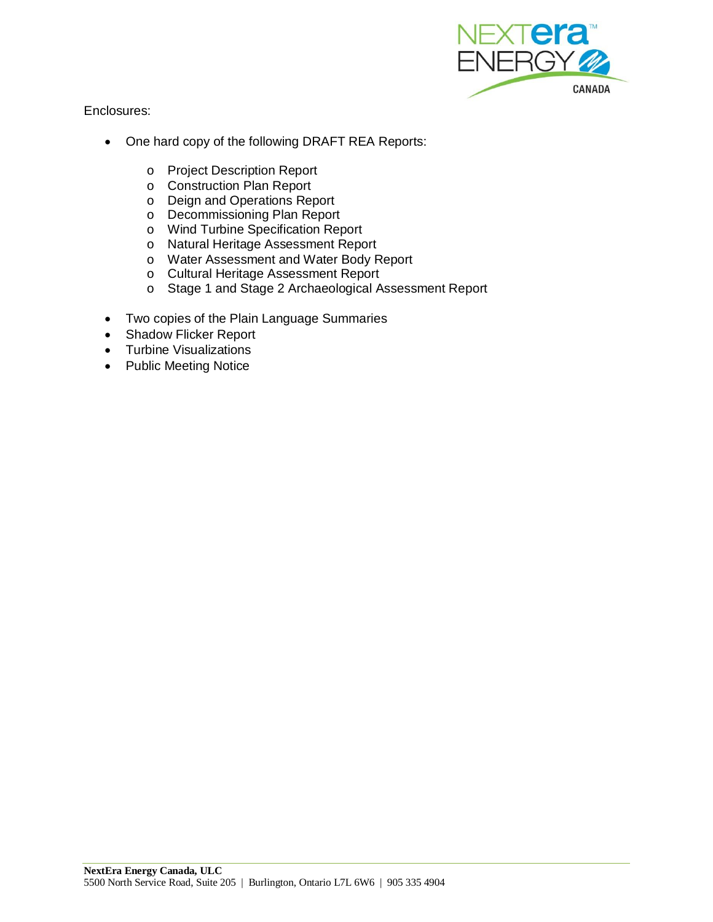

Enclosures:

- One hard copy of the following DRAFT REA Reports:
	- o Project Description Report
	- o Construction Plan Report
	- o Deign and Operations Report
	- o Decommissioning Plan Report
	- o Wind Turbine Specification Report
	- o Natural Heritage Assessment Report
	- o Water Assessment and Water Body Report
	- o Cultural Heritage Assessment Report
	- o Stage 1 and Stage 2 Archaeological Assessment Report
- Two copies of the Plain Language Summaries
- Shadow Flicker Report
- Turbine Visualizations
- Public Meeting Notice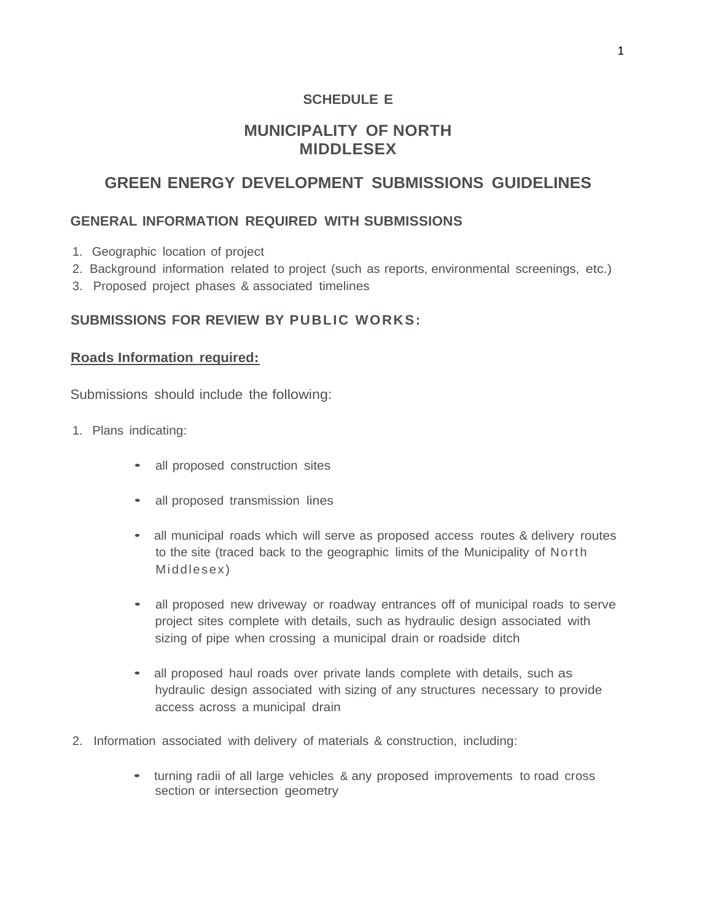# **SCHEDULE E**

# **MUNICIPALITY OF NORTH MIDDLESEX**

# **GREEN ENERGY DEVELOPMENT SUBMISSIONS GUIDELINES**

# **GENERAL INFORMATION REQUIRED WITH SUBMISSIONS**

- 1. Geographic location of project
- 2. Background information related to project (such as reports, environmental screenings, etc.)
- 3. Proposed project phases & associated timelines

# **SUBMISSIONS FOR REVIEW BY PUBLIC WORKS:**

# **Roads Information required:**

- 1. Plans indicating:
	- all proposed construction sites
	- all proposed transmission lines
	- all municipal roads which will serve as proposed access routes & delivery routes to the site (traced back to the geographic limits of the Municipality of North Middlesex)
	- all proposed new driveway or roadway entrances off of municipal roads to serve project sites complete with details, such as hydraulic design associated with sizing of pipe when crossing a municipal drain or roadside ditch
	- all proposed haul roads over private lands complete with details, such as hydraulic design associated with sizing of any structures necessary to provide access across a municipal drain
- 2. Information associated with delivery of materials & construction, including:
	- turning radii of all large vehicles & any proposed improvements to road cross section or intersection geometry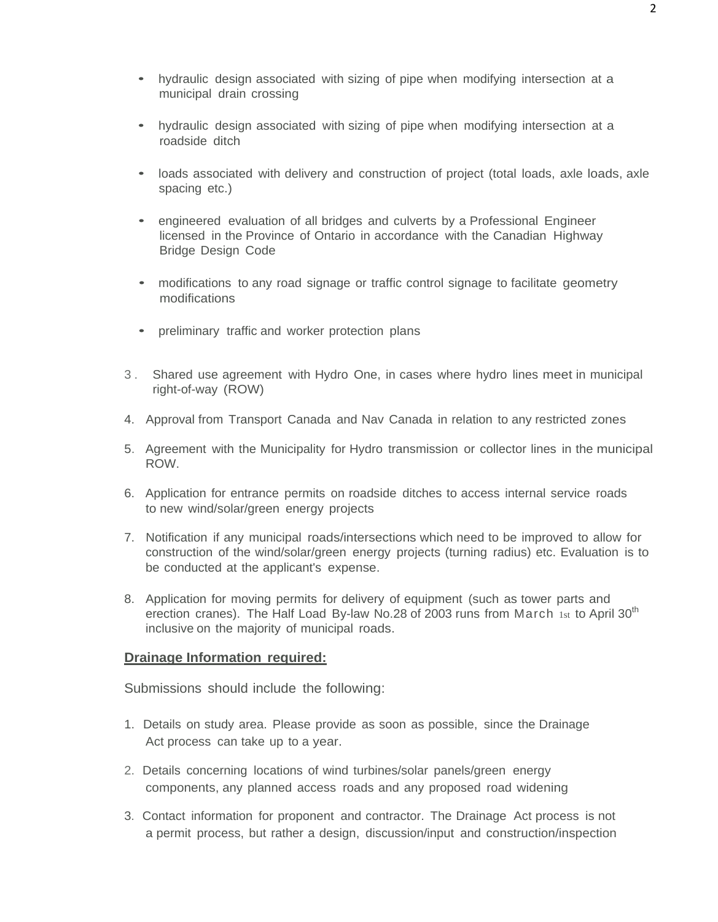- hydraulic design associated with sizing of pipe when modifying intersection at a municipal drain crossing
- hydraulic design associated with sizing of pipe when modifying intersection at a roadside ditch
- loads associated with delivery and construction of project (total loads, axle loads, axle spacing etc.)
- engineered evaluation of all bridges and culverts by <sup>a</sup> Professional Engineer licensed in the Province of Ontario in accordance with the Canadian Highway Bridge Design Code
- modifications to any road signage or traffic control signage to facilitate geometry modifications
- preliminary traffic and worker protection plans
- 3 . Shared use agreement with Hydro One, in cases where hydro lines meet in municipal right-of-way (ROW)
- 4. Approval from Transport Canada and Nav Canada in relation to any restricted zones
- 5. Agreement with the Municipality for Hydro transmission or collector lines in the municipal ROW.
- 6. Application for entrance permits on roadside ditches to access internal service roads to new wind/solar/green energy projects
- 7. Notification if any municipal roads/intersections which need to be improved to allow for construction of the wind/solar/green energy projects (turning radius) etc. Evaluation is to be conducted at the applicant's expense.
- 8. Application for moving permits for delivery of equipment (such as tower parts and erection cranes). The Half Load By-law No.28 of 2003 runs from March 1st to April 30<sup>th</sup> inclusive on the majority of municipal roads.

## **Drainage Information required:**

- 1. Details on study area. Please provide as soon as possible, since the Drainage Act process can take up to a year.
- 2. Details concerning locations of wind turbines/solar panels/green energy components, any planned access roads and any proposed road widening
- 3. Contact information for proponent and contractor. The Drainage Act process is not a permit process, but rather a design, discussion/input and construction/inspection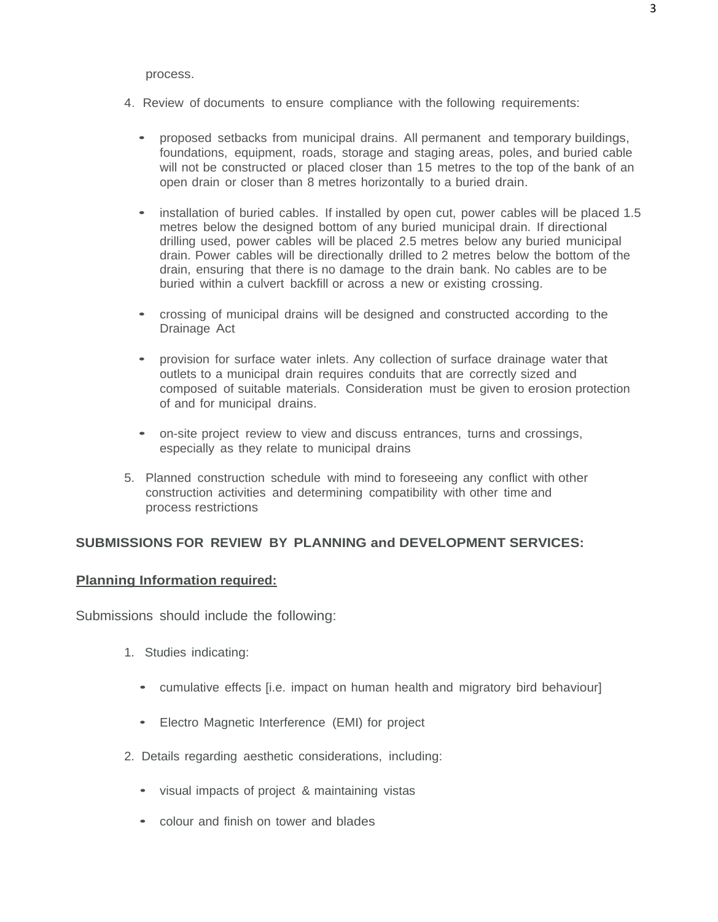#### process.

- 4. Review of documents to ensure compliance with the following requirements:
	- proposed setbacks from municipal drains. All permanent and temporary buildings, foundations, equipment, roads, storage and staging areas, poles, and buried cable will not be constructed or placed closer than 15 metres to the top of the bank of an open drain or closer than 8 metres horizontally to a buried drain.
	- installation of buried cables. If installed by open cut, power cables will be placed 1.5 metres below the designed bottom of any buried municipal drain. If directional drilling used, power cables will be placed 2.5 metres below any buried municipal drain. Power cables will be directionally drilled to 2 metres below the bottom of the drain, ensuring that there is no damage to the drain bank. No cables are to be buried within a culvert backfill or across a new or existing crossing.
	- crossing of municipal drains will be designed and constructed according to the Drainage Act
	- provision for surface water inlets. Any collection of surface drainage water that outlets to a municipal drain requires conduits that are correctly sized and composed of suitable materials. Consideration must be given to erosion protection of and for municipal drains.
	- on-site project review to view and discuss entrances, turns and crossings, especially as they relate to municipal drains
- 5. Planned construction schedule with mind to foreseeing any conflict with other construction activities and determining compatibility with other time and process restrictions

## **SUBMISSIONS FOR REVIEW BY PLANNING and DEVELOPMENT SERVICES:**

## **Planning Information required:**

- 1. Studies indicating:
	- cumulative effects [i.e. impact on human health and migratory bird behaviour]
	- Electro Magnetic Interference (EMI) for project
- 2. Details regarding aesthetic considerations, including:
	- visual impacts of project & maintaining vistas
	- colour and finish on tower and blades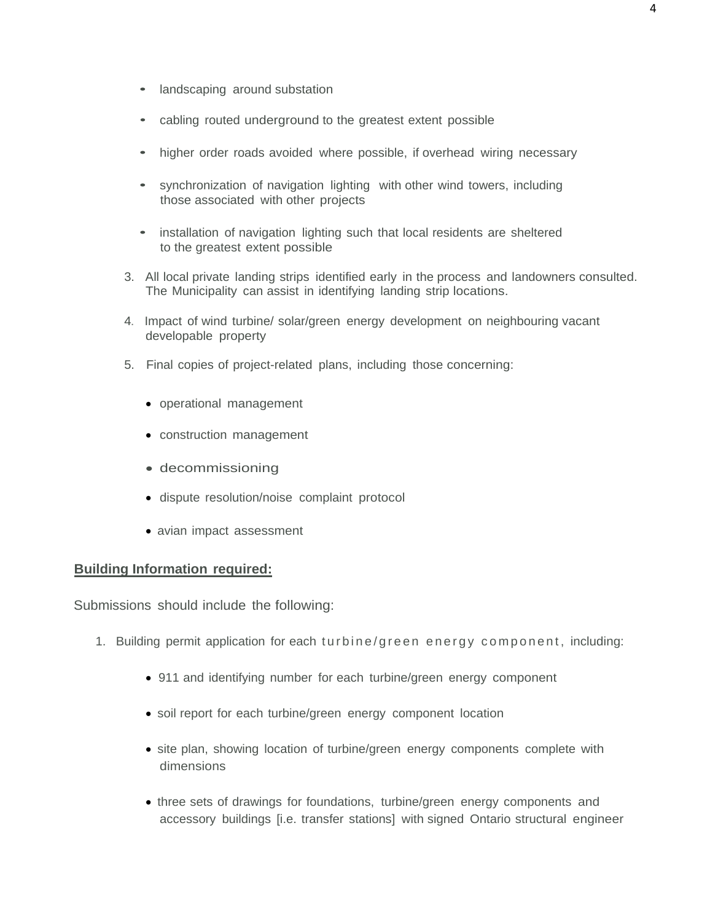- landscaping around substation
- cabling routed underground to the greatest extent possible
- higher order roads avoided where possible, if overhead wiring necessary
- synchronization of navigation lighting with other wind towers, including those associated with other projects
- installation of navigation lighting such that local residents are sheltered to the greatest extent possible
- 3. All local private landing strips identified early in the process and landowners consulted. The Municipality can assist in identifying landing strip locations.
- 4. Impact of wind turbine/ solar/green energy development on neighbouring vacant developable property
- 5. Final copies of project-related plans, including those concerning:
	- operational management
	- construction management
	- decommissioning
	- dispute resolution/noise complaint protocol
	- avian impact assessment

#### **Building Information required:**

- 1. Building permit application for each turbine/green energy component , including:
	- 911 and identifying number for each turbine/green energy component
	- soil report for each turbine/green energy component location
	- site plan, showing location of turbine/green energy components complete with dimensions
	- three sets of drawings for foundations, turbine/green energy components and accessory buildings [i.e. transfer stations] with signed Ontario structural engineer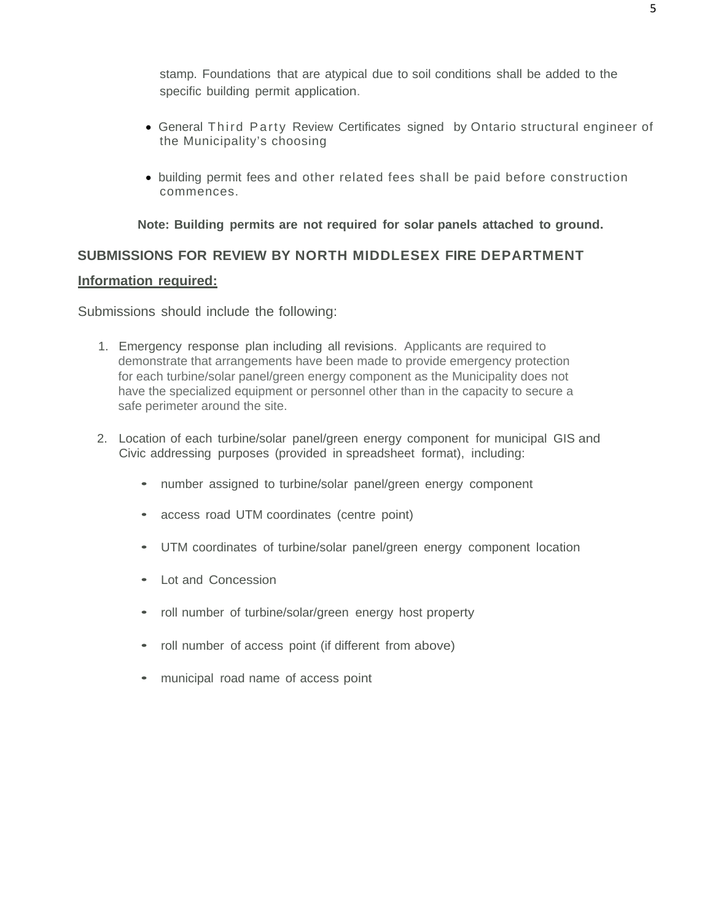stamp. Foundations that are atypical due to soil conditions shall be added to the specific building permit application.

- General Third Party Review Certificates signed by Ontario structural engineer of the Municipality's choosing
- building permit fees and other related fees shall be paid before construction commences.

**Note: Building permits are not required for solar panels attached to ground.**

# **SUBMISSIONS FOR REVIEW BY NORTH MIDDLESEX FIRE DEPARTMENT**

# **Information required:**

- 1. Emergency response plan including all revisions. Applicants are required to demonstrate that arrangements have been made to provide emergency protection for each turbine/solar panel/green energy component as the Municipality does not have the specialized equipment or personnel other than in the capacity to secure a safe perimeter around the site.
- 2. Location of each turbine/solar panel/green energy component for municipal GIS and Civic addressing purposes (provided in spreadsheet format), including:
	- number assigned to turbine/solar panel/green energy component
	- access road UTM coordinates (centre point)
	- UTM coordinates of turbine/solar panel/green energy component location
	- Lot and Concession
	- roll number of turbine/solar/green energy host property
	- roll number of access point (if different from above)
	- municipal road name of access point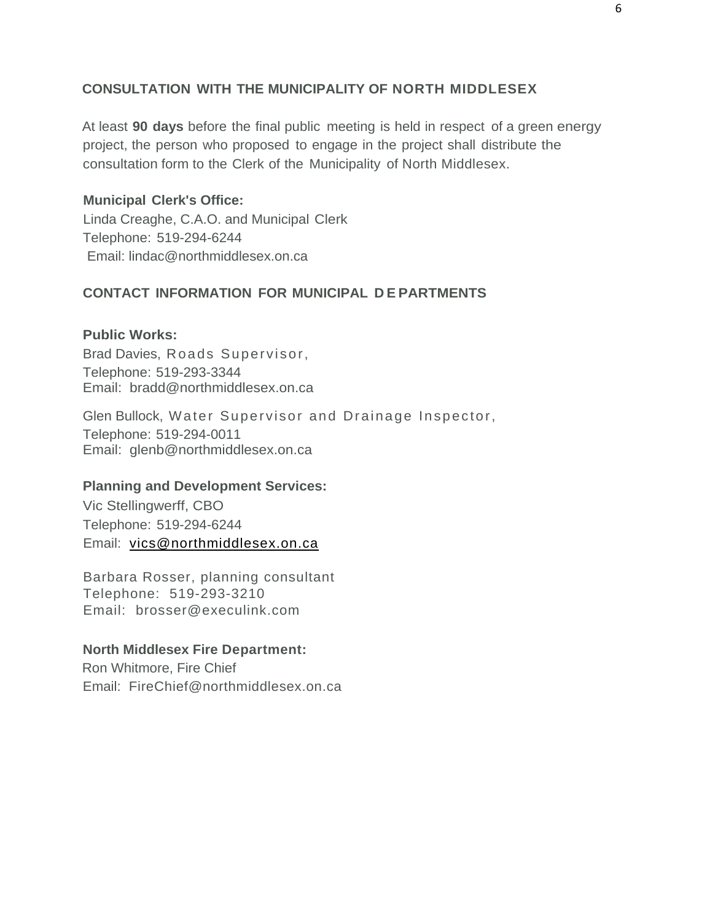# **CONSULTATION WITH THE MUNICIPALITY OF NORTH MIDDLESEX**

At least **90 days** before the final public meeting is held in respect of a green energy project, the person who proposed to engage in the project shall distribute the consultation form to the Clerk of the Municipality of North Middlesex.

# **Municipal Clerk's Office:**

Linda Creaghe, C.A.O. and Municipal Clerk Telephone: 519-294-6244 Email: lindac@northmiddlesex.on.ca

# **CONTACT INFORMATION FOR MUNICIPAL D E PARTMENTS**

# **Public Works:**

Brad Davies, Roads Supervisor, Telephone: 519-293-3344 Email: bradd@northmiddlesex.on.ca

Glen Bullock, Water Supervisor and Drainage Inspector, Telephone: 519-294-0011 Email: glenb@northmiddlesex.on.ca

## **Planning and Development Services:**

Vic Stellingwerff, CBO Telephone: 519-294-6244 Email: [vics@northmiddlesex.on.ca](mailto:vics@northmiddlesex.on.ca)

Barbara Rosser, planning consultant Telephone: 519-293-3210 Email: brosser@execulink.com

# **North Middlesex Fire Department:**

Ron Whitmore, Fire Chief Email: FireChief@northmiddlesex.on.ca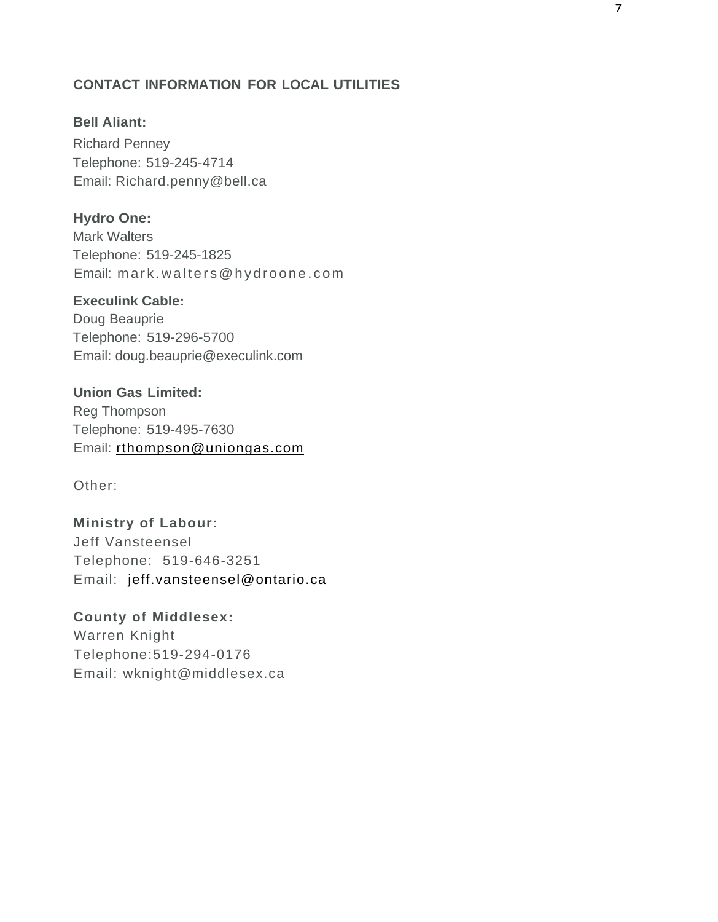# **CONTACT INFORMATION FOR LOCAL UTILITIES**

# **Bell Aliant:**

Richard Penney Telephone: 519-245-4714 Email: Richard.penny@bell.ca

## **Hydro One:**

Mark Walters Telephone: 519-245-1825 Email: mark.walters@hydroone.com

# **Execulink Cable:**

Doug Beauprie Telephone: 519-296-5700 Email: doug.beauprie@execulink.com

**Union Gas Limited:** Reg Thompson Telephone: 519-495-7630 Email: [rthompson@uniongas.com](mailto:rthompson@uniongas.com)

Other:

**Ministry of Labour:** Jeff Vansteensel Telephone: 519-646-3251 Email: [jeff.vansteensel@ontario.ca](mailto:jeff.vansteensel@ontario.ca)

# **County of Middlesex:**

Warren Knight Telephone:519-294-0176 Email: wknight@middlesex.ca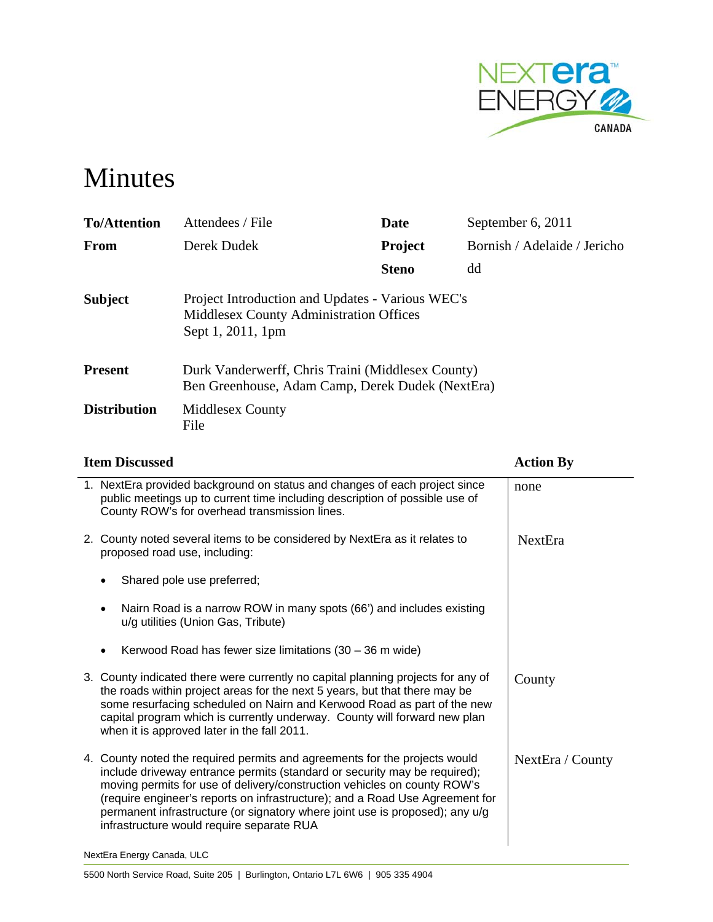

# Minutes

| <b>To/Attention</b> | Attendees / File                                                                                                        | Date           | September 6, 2011            |
|---------------------|-------------------------------------------------------------------------------------------------------------------------|----------------|------------------------------|
| <b>From</b>         | Derek Dudek                                                                                                             | <b>Project</b> | Bornish / Adelaide / Jericho |
|                     |                                                                                                                         | <b>Steno</b>   | dd                           |
| <b>Subject</b>      | Project Introduction and Updates - Various WEC's<br><b>Middlesex County Administration Offices</b><br>Sept 1, 2011, 1pm |                |                              |
| <b>Present</b>      | Durk Vanderwerff, Chris Traini (Middlesex County)<br>Ben Greenhouse, Adam Camp, Derek Dudek (NextEra)                   |                |                              |
| <b>Distribution</b> | <b>Middlesex County</b><br>File                                                                                         |                |                              |

| <b>Item Discussed</b>                                                                                                                                                                                                                                                                                                                                                                                                                            | <b>Action By</b> |
|--------------------------------------------------------------------------------------------------------------------------------------------------------------------------------------------------------------------------------------------------------------------------------------------------------------------------------------------------------------------------------------------------------------------------------------------------|------------------|
| 1. NextEra provided background on status and changes of each project since<br>public meetings up to current time including description of possible use of<br>County ROW's for overhead transmission lines.                                                                                                                                                                                                                                       | none             |
| 2. County noted several items to be considered by NextEra as it relates to<br>proposed road use, including:                                                                                                                                                                                                                                                                                                                                      | NextEra          |
| Shared pole use preferred;                                                                                                                                                                                                                                                                                                                                                                                                                       |                  |
| Nairn Road is a narrow ROW in many spots (66') and includes existing<br>$\bullet$<br>u/g utilities (Union Gas, Tribute)                                                                                                                                                                                                                                                                                                                          |                  |
| Kerwood Road has fewer size limitations $(30 - 36 \text{ m wide})$                                                                                                                                                                                                                                                                                                                                                                               |                  |
| 3. County indicated there were currently no capital planning projects for any of<br>the roads within project areas for the next 5 years, but that there may be<br>some resurfacing scheduled on Nairn and Kerwood Road as part of the new<br>capital program which is currently underway. County will forward new plan<br>when it is approved later in the fall 2011.                                                                            | County           |
| 4. County noted the required permits and agreements for the projects would<br>include driveway entrance permits (standard or security may be required);<br>moving permits for use of delivery/construction vehicles on county ROW's<br>(require engineer's reports on infrastructure); and a Road Use Agreement for<br>permanent infrastructure (or signatory where joint use is proposed); any u/g<br>infrastructure would require separate RUA | NextEra / County |
| NextEra Energy Canada, ULC                                                                                                                                                                                                                                                                                                                                                                                                                       |                  |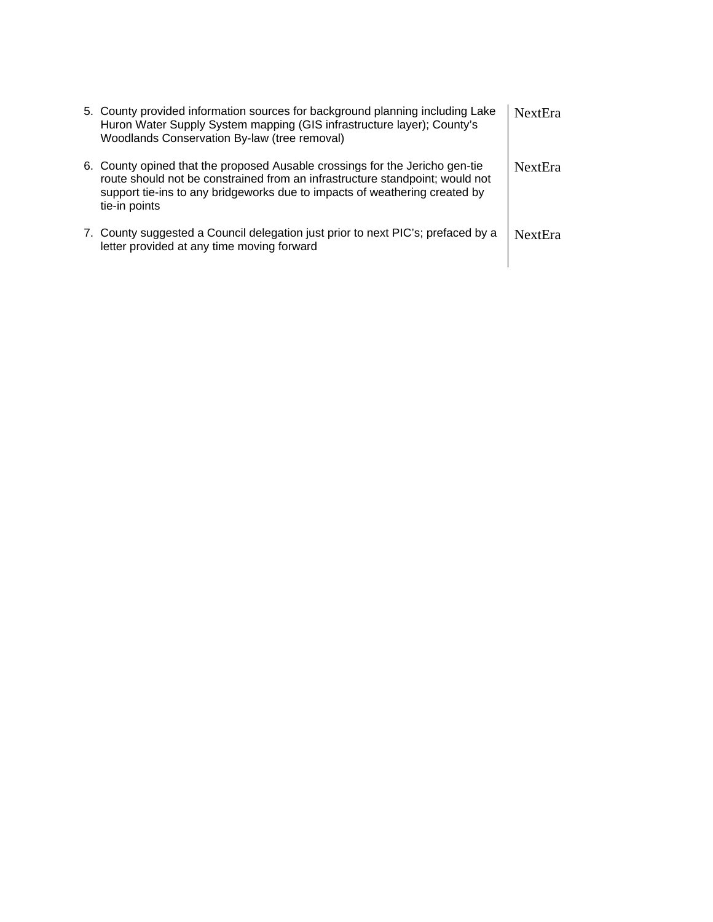| 5. County provided information sources for background planning including Lake<br>Huron Water Supply System mapping (GIS infrastructure layer); County's<br>Woodlands Conservation By-law (tree removal)                                                     | <b>NextEra</b> |
|-------------------------------------------------------------------------------------------------------------------------------------------------------------------------------------------------------------------------------------------------------------|----------------|
| 6. County opined that the proposed Ausable crossings for the Jericho gen-tie<br>route should not be constrained from an infrastructure standpoint; would not<br>support tie-ins to any bridgeworks due to impacts of weathering created by<br>tie-in points | <b>NextEra</b> |
| 7. County suggested a Council delegation just prior to next PIC's; prefaced by a<br>letter provided at any time moving forward                                                                                                                              | <b>NextEra</b> |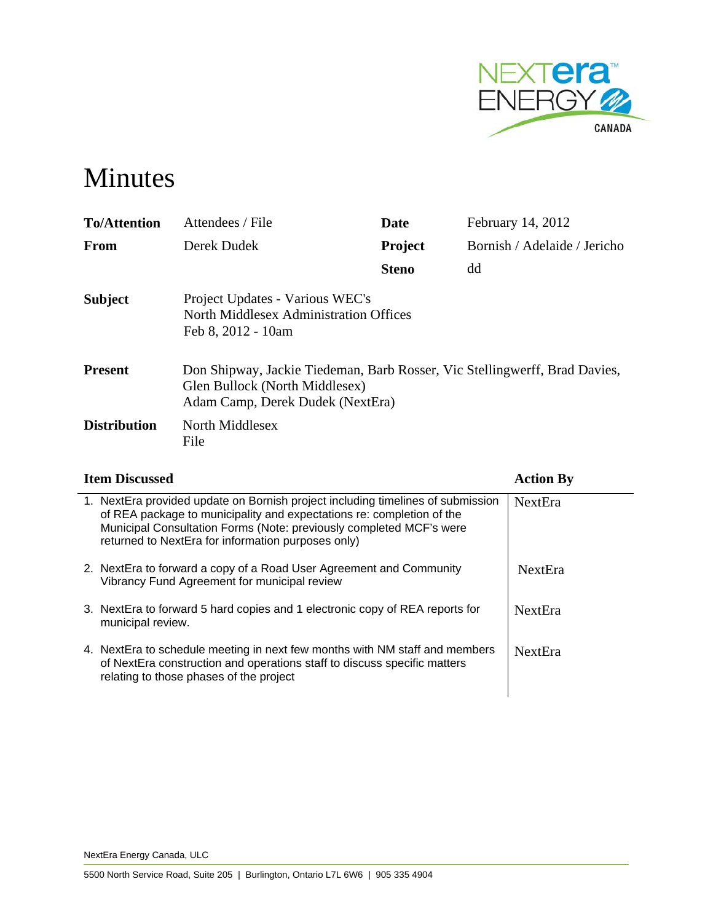

# Minutes

| <b>To/Attention</b> | Attendees / File                                                                                                                                 | Date           | February 14, 2012            |  |  |
|---------------------|--------------------------------------------------------------------------------------------------------------------------------------------------|----------------|------------------------------|--|--|
| <b>From</b>         | Derek Dudek                                                                                                                                      | <b>Project</b> | Bornish / Adelaide / Jericho |  |  |
|                     |                                                                                                                                                  | <b>Steno</b>   | dd                           |  |  |
| <b>Subject</b>      | Project Updates - Various WEC's<br>North Middlesex Administration Offices<br>Feb 8, 2012 - 10am                                                  |                |                              |  |  |
| <b>Present</b>      | Don Shipway, Jackie Tiedeman, Barb Rosser, Vic Stellingwerff, Brad Davies,<br>Glen Bullock (North Middlesex)<br>Adam Camp, Derek Dudek (NextEra) |                |                              |  |  |
| <b>Distribution</b> | North Middlesex<br>File                                                                                                                          |                |                              |  |  |

# **Item Discussed Action By**

| 1. NextEra provided update on Bornish project including timelines of submission<br>of REA package to municipality and expectations re: completion of the<br>Municipal Consultation Forms (Note: previously completed MCF's were<br>returned to NextEra for information purposes only) | NextEra        |
|---------------------------------------------------------------------------------------------------------------------------------------------------------------------------------------------------------------------------------------------------------------------------------------|----------------|
| 2. NextEra to forward a copy of a Road User Agreement and Community<br>Vibrancy Fund Agreement for municipal review                                                                                                                                                                   | <b>NextEra</b> |
| 3. NextEra to forward 5 hard copies and 1 electronic copy of REA reports for<br>municipal review.                                                                                                                                                                                     | <b>NextEra</b> |
| 4. NextEra to schedule meeting in next few months with NM staff and members<br>of NextEra construction and operations staff to discuss specific matters<br>relating to those phases of the project                                                                                    | <b>NextEra</b> |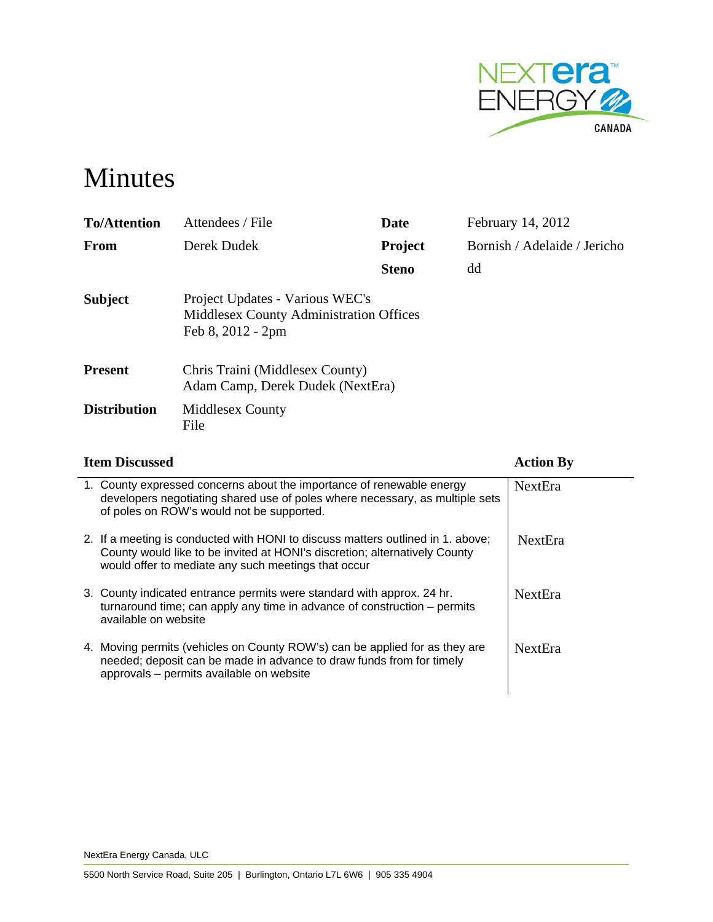

# Minutes

| <b>To/Attention</b> | Attendees / File                                                                                       | Date           | February 14, 2012            |
|---------------------|--------------------------------------------------------------------------------------------------------|----------------|------------------------------|
| From                | Derek Dudek                                                                                            | <b>Project</b> | Bornish / Adelaide / Jericho |
|                     |                                                                                                        | <b>Steno</b>   | dd                           |
| <b>Subject</b>      | Project Updates - Various WEC's<br><b>Middlesex County Administration Offices</b><br>Feb 8, 2012 - 2pm |                |                              |
| <b>Present</b>      | Chris Traini (Middlesex County)<br>Adam Camp, Derek Dudek (NextEra)                                    |                |                              |
| <b>Distribution</b> | <b>Middlesex County</b><br>File                                                                        |                |                              |

| <b>Item Discussed</b>                                                                                                                                                                                                | <b>Action By</b> |
|----------------------------------------------------------------------------------------------------------------------------------------------------------------------------------------------------------------------|------------------|
| 1. County expressed concerns about the importance of renewable energy<br>developers negotiating shared use of poles where necessary, as multiple sets<br>of poles on ROW's would not be supported.                   | <b>NextEra</b>   |
| 2. If a meeting is conducted with HONI to discuss matters outlined in 1. above;<br>County would like to be invited at HONI's discretion; alternatively County<br>would offer to mediate any such meetings that occur | <b>NextEra</b>   |
| 3. County indicated entrance permits were standard with approx. 24 hr.<br>turnaround time; can apply any time in advance of construction $-$ permits<br>available on website                                         | <b>NextEra</b>   |
| 4. Moving permits (vehicles on County ROW's) can be applied for as they are<br>needed; deposit can be made in advance to draw funds from for timely<br>approvals - permits available on website                      | <b>NextEra</b>   |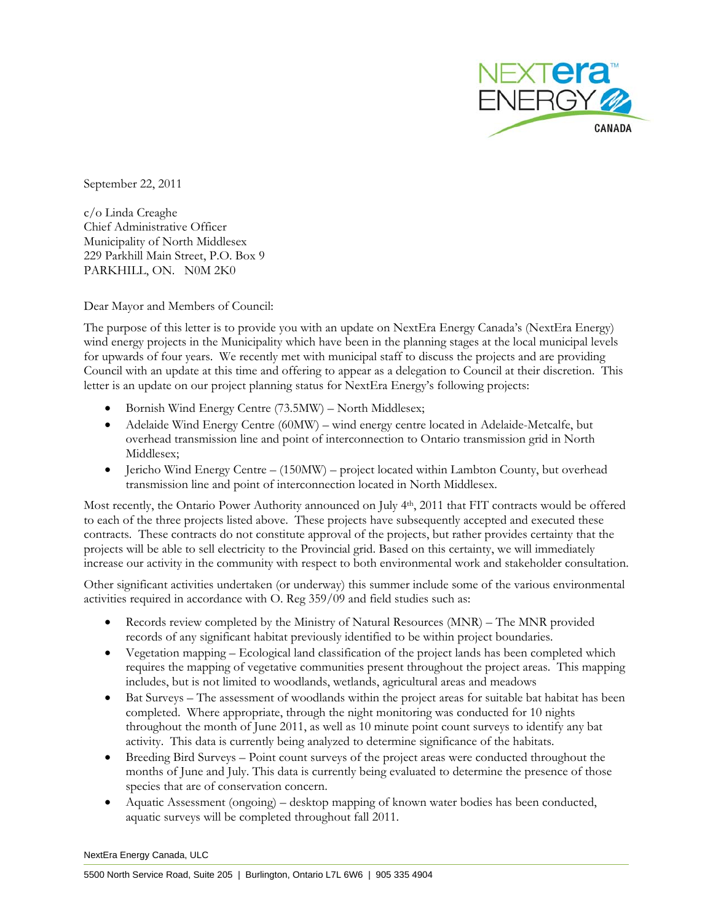

September 22, 2011

c/o Linda Creaghe Chief Administrative Officer Municipality of North Middlesex 229 Parkhill Main Street, P.O. Box 9 PARKHILL, ON. N0M 2K0

Dear Mayor and Members of Council:

The purpose of this letter is to provide you with an update on NextEra Energy Canada's (NextEra Energy) wind energy projects in the Municipality which have been in the planning stages at the local municipal levels for upwards of four years. We recently met with municipal staff to discuss the projects and are providing Council with an update at this time and offering to appear as a delegation to Council at their discretion. This letter is an update on our project planning status for NextEra Energy's following projects:

- Bornish Wind Energy Centre (73.5MW) North Middlesex;
- Adelaide Wind Energy Centre (60MW) wind energy centre located in Adelaide-Metcalfe, but overhead transmission line and point of interconnection to Ontario transmission grid in North Middlesex;
- Jericho Wind Energy Centre  $(150MW)$  project located within Lambton County, but overhead transmission line and point of interconnection located in North Middlesex.

Most recently, the Ontario Power Authority announced on July 4th, 2011 that FIT contracts would be offered to each of the three projects listed above. These projects have subsequently accepted and executed these contracts. These contracts do not constitute approval of the projects, but rather provides certainty that the projects will be able to sell electricity to the Provincial grid. Based on this certainty, we will immediately increase our activity in the community with respect to both environmental work and stakeholder consultation.

Other significant activities undertaken (or underway) this summer include some of the various environmental activities required in accordance with O. Reg 359/09 and field studies such as:

- Records review completed by the Ministry of Natural Resources (MNR) The MNR provided records of any significant habitat previously identified to be within project boundaries.
- Vegetation mapping Ecological land classification of the project lands has been completed which requires the mapping of vegetative communities present throughout the project areas. This mapping includes, but is not limited to woodlands, wetlands, agricultural areas and meadows
- Bat Surveys The assessment of woodlands within the project areas for suitable bat habitat has been completed. Where appropriate, through the night monitoring was conducted for 10 nights throughout the month of June 2011, as well as 10 minute point count surveys to identify any bat activity. This data is currently being analyzed to determine significance of the habitats.
- Breeding Bird Surveys Point count surveys of the project areas were conducted throughout the months of June and July. This data is currently being evaluated to determine the presence of those species that are of conservation concern.
- Aquatic Assessment (ongoing) desktop mapping of known water bodies has been conducted, aquatic surveys will be completed throughout fall 2011.